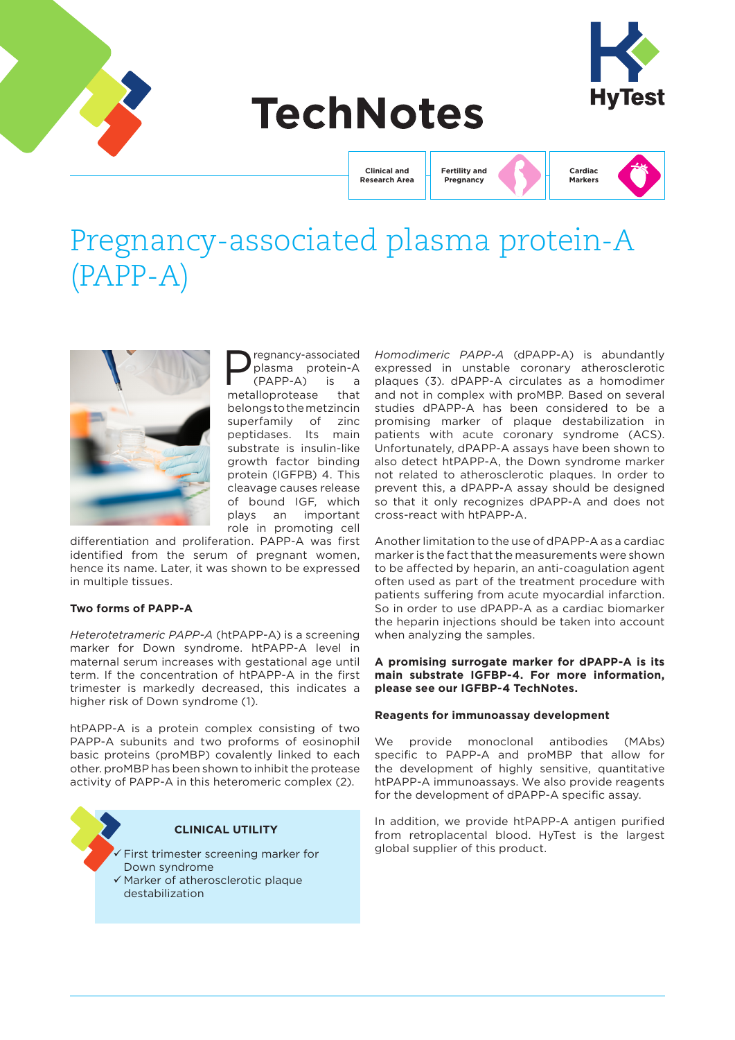

# **TechNotes**



**Clinical and Research Area** **Fertility and Pregnancy**



## Pregnancy-associated plasma protein-A (PAPP-A)



regnancy-associated<br>plasma protein-A<br>(PAPP-A) is a<br>alloprotease that plasma protein-A  $(PAPP-A)$ metalloprotease belongs to the metzincin superfamily of zinc peptidases. Its main substrate is insulin-like growth factor binding protein (IGFPB) 4. This cleavage causes release of bound IGF, which plays an important role in promoting cell

differentiation and proliferation. PAPP-A was first identified from the serum of pregnant women, hence its name. Later, it was shown to be expressed in multiple tissues.

#### **Two forms of PAPP-A**

*Heterotetrameric PAPP-A* (htPAPP-A) is a screening marker for Down syndrome. htPAPP-A level in maternal serum increases with gestational age until term. If the concentration of htPAPP-A in the first trimester is markedly decreased, this indicates a higher risk of Down syndrome (1).

htPAPP-A is a protein complex consisting of two PAPP-A subunits and two proforms of eosinophil basic proteins (proMBP) covalently linked to each other. proMBP has been shown to inhibit the protease activity of PAPP-A in this heteromeric complex (2).



 Marker of atherosclerotic plaque destabilization

*Homodimeric PAPP-A* (dPAPP-A) is abundantly expressed in unstable coronary atherosclerotic plaques (3). dPAPP-A circulates as a homodimer and not in complex with proMBP. Based on several studies dPAPP-A has been considered to be a promising marker of plaque destabilization in patients with acute coronary syndrome (ACS). Unfortunately, dPAPP-A assays have been shown to also detect htPAPP-A, the Down syndrome marker not related to atherosclerotic plaques. In order to prevent this, a dPAPP-A assay should be designed so that it only recognizes dPAPP-A and does not cross-react with htPAPP-A.

Another limitation to the use of dPAPP-A as a cardiac marker is the fact that the measurements were shown to be affected by heparin, an anti-coagulation agent often used as part of the treatment procedure with patients suffering from acute myocardial infarction. So in order to use dPAPP-A as a cardiac biomarker the heparin injections should be taken into account when analyzing the samples.

#### **A promising surrogate marker for dPAPP-A is its main substrate IGFBP-4. For more information, please see our IGFBP-4 TechNotes.**

#### **Reagents for immunoassay development**

We provide monoclonal antibodies (MAbs) specific to PAPP-A and proMBP that allow for the development of highly sensitive, quantitative htPAPP-A immunoassays. We also provide reagents for the development of dPAPP-A specific assay.

In addition, we provide htPAPP-A antigen purified from retroplacental blood. HyTest is the largest global supplier of this product.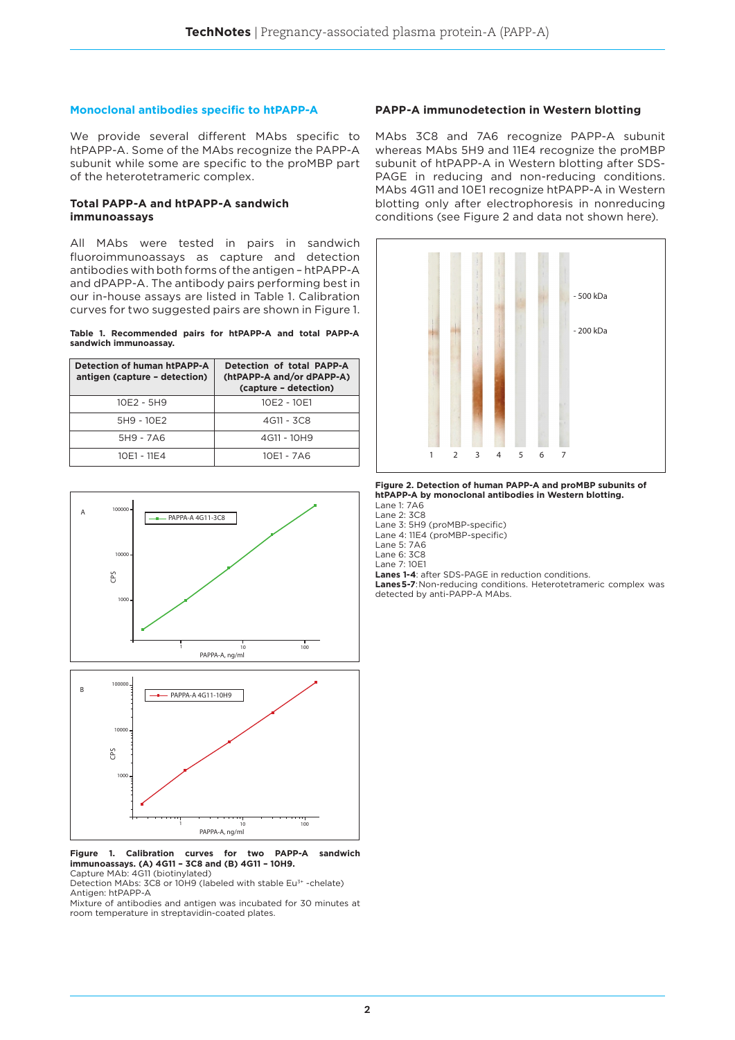#### **Monoclonal antibodies specific to htPAPP-A**

We provide several different MAbs specific to htPAPP-A. Some of the MAbs recognize the PAPP-A subunit while some are specific to the proMBP part of the heterotetrameric complex.

#### **Total PAPP-A and htPAPP-A sandwich immunoassays**

All MAbs were tested in pairs in sandwich fluoroimmunoassays as capture and detection antibodies with both forms of the antigen – htPAPP-A and dPAPP-A. The antibody pairs performing best in our in-house assays are listed in Table 1. Calibration curves for two suggested pairs are shown in Figure 1.

**Table 1. Recommended pairs for htPAPP-A and total PAPP-A sandwich immunoassay.**

| Detection of human htPAPP-A<br>antigen (capture - detection) | Detection of total PAPP-A<br>(htPAPP-A and/or dPAPP-A)<br>(capture - detection) |  |  |
|--------------------------------------------------------------|---------------------------------------------------------------------------------|--|--|
| 10E2 - 5H9                                                   | 10E2 - 10E1                                                                     |  |  |
| 5H9 - 10E2                                                   | 4G11 - 3C8                                                                      |  |  |
| 5H9 - 7A6                                                    | 4G11 - 10H9                                                                     |  |  |
| 10E1 - 11E4                                                  | 10E1 - 7A6                                                                      |  |  |



#### **Figure 1. Calibration curves for two PAPP-A sandwich immunoassays. (A) 4G11 – 3C8 and (B) 4G11 – 10H9.** Capture MAb: 4G11 (biotinylated)

Detection MAbs: 3C8 or 10H9 (labeled with stable Eu<sup>3+</sup> -chelate) Antigen: htPAPP-A

Mixture of antibodies and antigen was incubated for 30 minutes at room temperature in streptavidin-coated plates.

#### **PAPP-A immunodetection in Western blotting**

MAbs 3C8 and 7A6 recognize PAPP-A subunit whereas MAbs 5H9 and 11E4 recognize the proMBP subunit of htPAPP-A in Western blotting after SDS-PAGE in reducing and non-reducing conditions. MAbs 4G11 and 10E1 recognize htPAPP-A in Western blotting only after electrophoresis in nonreducing conditions (see Figure 2 and data not shown here).



**Figure 2. Detection of human PAPP-A and proMBP subunits of htPAPP-A by monoclonal antibodies in Western blotting.**

Lane 1: 7A6

Lane 2: 3C8 Lane 3: 5H9 (proMBP-specific)

Lane 4: 11E4 (proMBP-specific)

Lane 5: 7A6

Lane 6: 3C8

Lane 7: 10E1

**Lanes 1-4**: after SDS-PAGE in reduction conditions.

**Lanes5-7**:Non-reducing conditions. Heterotetrameric complex was detected by anti-PAPP-A MAbs.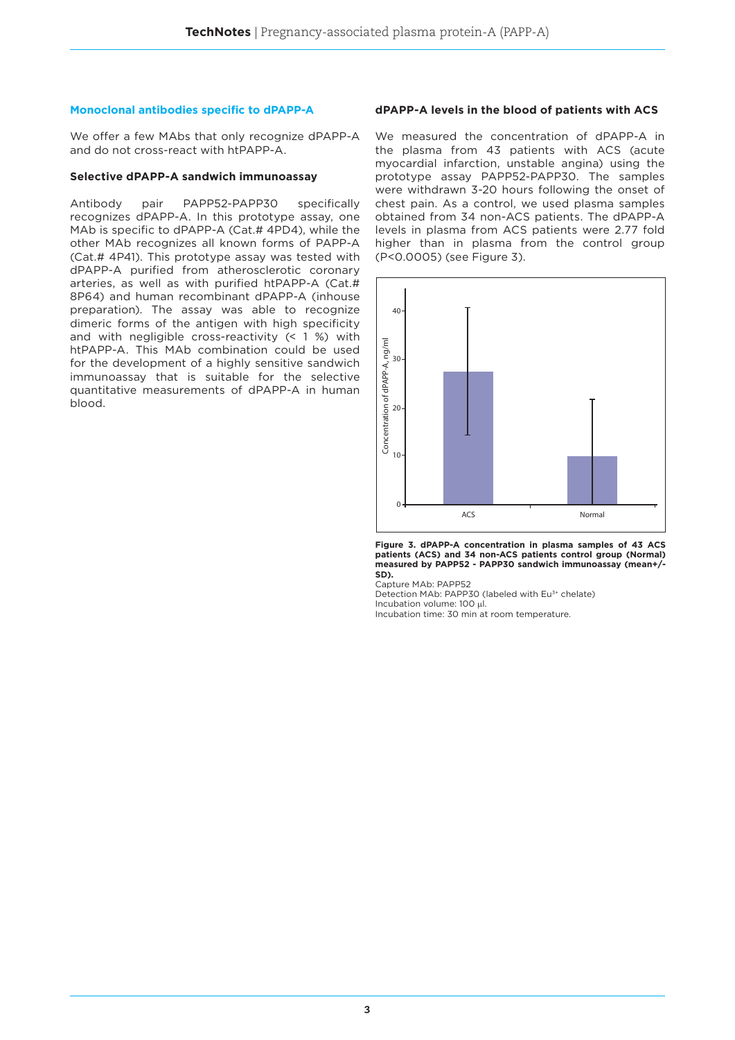#### **Monoclonal antibodies specific to dPAPP-A**

We offer a few MAbs that only recognize dPAPP-A and do not cross-react with htPAPP-A.

#### **Selective dPAPP-A sandwich immunoassay**

Antibody pair PAPP52-PAPP30 specifically recognizes dPAPP-A. In this prototype assay, one MAb is specific to dPAPP-A (Cat.# 4PD4), while the other MAb recognizes all known forms of PAPP-A (Cat.# 4P41). This prototype assay was tested with dPAPP-A purified from atherosclerotic coronary arteries, as well as with purified htPAPP-A (Cat.# 8P64) and human recombinant dPAPP-A (inhouse preparation). The assay was able to recognize dimeric forms of the antigen with high specificity and with negligible cross-reactivity (< 1 %) with htPAPP-A. This MAb combination could be used for the development of a highly sensitive sandwich immunoassay that is suitable for the selective quantitative measurements of dPAPP-A in human blood.

#### **dPAPP-A levels in the blood of patients with ACS**

We measured the concentration of dPAPP-A in the plasma from 43 patients with ACS (acute myocardial infarction, unstable angina) using the prototype assay PAPP52-PAPP30. The samples were withdrawn 3-20 hours following the onset of chest pain. As a control, we used plasma samples obtained from 34 non-ACS patients. The dPAPP-A levels in plasma from ACS patients were 2.77 fold higher than in plasma from the control group (P<0.0005) (see Figure 3).



**Figure 3. dPAPP-A concentration in plasma samples of 43 ACS patients (ACS) and 34 non-ACS patients control group (Normal) measured by PAPP52 - PAPP30 sandwich immunoassay (mean+/- SD).** 

Capture MAb: PAPP52

Detection MAb: PAPP30 (labeled with Eu3+ chelate) Incubation volume: 100 μl.

Incubation volume: 100 µm.<br>Incubation time: 30 min at room temperature.